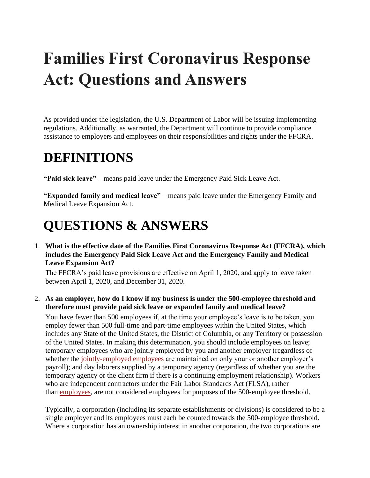# **Families First Coronavirus Response Act: Questions and Answers**

As provided under the legislation, the U.S. Department of Labor will be issuing implementing regulations. Additionally, as warranted, the Department will continue to provide compliance assistance to employers and employees on their responsibilities and rights under the FFCRA.

# **DEFINITIONS**

**"Paid sick leave"** – means paid leave under the Emergency Paid Sick Leave Act.

**"Expanded family and medical leave"** – means paid leave under the Emergency Family and Medical Leave Expansion Act.

# **QUESTIONS & ANSWERS**

1. **What is the effective date of the Families First Coronavirus Response Act (FFCRA), which includes the Emergency Paid Sick Leave Act and the Emergency Family and Medical Leave Expansion Act?**

The FFCRA's paid leave provisions are effective on April 1, 2020, and apply to leave taken between April 1, 2020, and December 31, 2020.

#### 2. **As an employer, how do I know if my business is under the 500-employee threshold and therefore must provide paid sick leave or expanded family and medical leave?**

You have fewer than 500 employees if, at the time your employee's leave is to be taken, you employ fewer than 500 full-time and part-time employees within the United States, which includes any State of the United States, the District of Columbia, or any Territory or possession of the United States. In making this determination, you should include employees on leave; temporary employees who are jointly employed by you and another employer (regardless of whether the [jointly-employed employees](https://www.dol.gov/agencies/whd/flsa/2020-joint-employment/fact-sheet) are maintained on only your or another employer's payroll); and day laborers supplied by a temporary agency (regardless of whether you are the temporary agency or the client firm if there is a continuing employment relationship). Workers who are independent contractors under the Fair Labor Standards Act (FLSA), rather than [employees,](https://www.dol.gov/agencies/whd/fact-sheets/13-flsa-employment-relationship) are not considered employees for purposes of the 500-employee threshold.

Typically, a corporation (including its separate establishments or divisions) is considered to be a single employer and its employees must each be counted towards the 500-employee threshold. Where a corporation has an ownership interest in another corporation, the two corporations are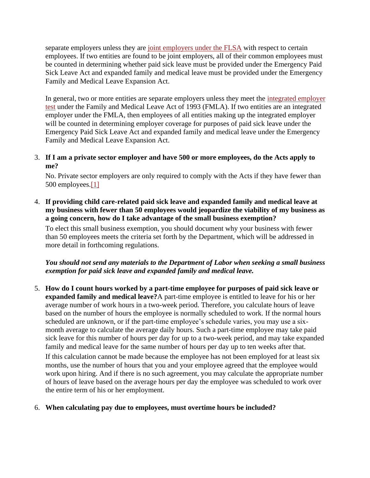separate employers unless they are [joint employers under the FLSA](https://www.dol.gov/agencies/whd/flsa/2020-joint-employment/fact-sheet) with respect to certain employees. If two entities are found to be joint employers, all of their common employees must be counted in determining whether paid sick leave must be provided under the Emergency Paid Sick Leave Act and expanded family and medical leave must be provided under the Emergency Family and Medical Leave Expansion Act.

In general, two or more entities are separate employers unless they meet the integrated employer [test](https://www.dol.gov/sites/dolgov/files/WHD/legacy/files/FOH_Ch39.pdf) under the Family and Medical Leave Act of 1993 (FMLA). If two entities are an integrated employer under the FMLA, then employees of all entities making up the integrated employer will be counted in determining employer coverage for purposes of paid sick leave under the Emergency Paid Sick Leave Act and expanded family and medical leave under the Emergency Family and Medical Leave Expansion Act.

3. **If I am a private sector employer and have 500 or more employees, do the Acts apply to me?**

No. Private sector employers are only required to comply with the Acts if they have fewer than 500 employees[.\[1\]](https://www.dol.gov/agencies/whd/pandemic/ffcra-questions#_ftn1)

4. **If providing child care-related paid sick leave and expanded family and medical leave at my business with fewer than 50 employees would jeopardize the viability of my business as a going concern, how do I take advantage of the small business exemption?**

To elect this small business exemption, you should document why your business with fewer than 50 employees meets the criteria set forth by the Department, which will be addressed in more detail in forthcoming regulations.

*You should not send any materials to the Department of Labor when seeking a small business exemption for paid sick leave and expanded family and medical leave.*

5. **How do I count hours worked by a part-time employee for purposes of paid sick leave or expanded family and medical leave?**A part-time employee is entitled to leave for his or her average number of work hours in a two-week period. Therefore, you calculate hours of leave based on the number of hours the employee is normally scheduled to work. If the normal hours scheduled are unknown, or if the part-time employee's schedule varies, you may use a sixmonth average to calculate the average daily hours. Such a part-time employee may take paid sick leave for this number of hours per day for up to a two-week period, and may take expanded family and medical leave for the same number of hours per day up to ten weeks after that.

If this calculation cannot be made because the employee has not been employed for at least six months, use the number of hours that you and your employee agreed that the employee would work upon hiring. And if there is no such agreement, you may calculate the appropriate number of hours of leave based on the average hours per day the employee was scheduled to work over the entire term of his or her employment.

6. **When calculating pay due to employees, must overtime hours be included?**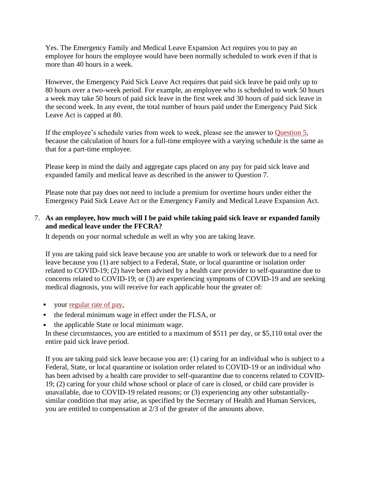Yes. The Emergency Family and Medical Leave Expansion Act requires you to pay an employee for hours the employee would have been normally scheduled to work even if that is more than 40 hours in a week.

However, the Emergency Paid Sick Leave Act requires that paid sick leave be paid only up to 80 hours over a two-week period. For example, an employee who is scheduled to work 50 hours a week may take 50 hours of paid sick leave in the first week and 30 hours of paid sick leave in the second week. In any event, the total number of hours paid under the Emergency Paid Sick Leave Act is capped at 80.

If the employee's schedule varies from week to week, please see the answer to [Question 5,](https://www.dol.gov/agencies/whd/pandemic/ffcra-questions#5) because the calculation of hours for a full-time employee with a varying schedule is the same as that for a part-time employee.

Please keep in mind the daily and aggregate caps placed on any pay for paid sick leave and expanded family and medical leave as described in the answer to Question 7.

Please note that pay does not need to include a premium for overtime hours under either the Emergency Paid Sick Leave Act or the Emergency Family and Medical Leave Expansion Act.

### 7. **As an employee, how much will I be paid while taking paid sick leave or expanded family and medical leave under the FFCRA?**

It depends on your normal schedule as well as why you are taking leave.

If you are taking paid sick leave because you are unable to work or telework due to a need for leave because you (1) are subject to a Federal, State, or local quarantine or isolation order related to COVID-19; (2) have been advised by a health care provider to self-quarantine due to concerns related to COVID-19; or (3) are experiencing symptoms of COVID-19 and are seeking medical diagnosis, you will receive for each applicable hour the greater of:

- your [regular rate of pay,](https://www.dol.gov/agencies/whd/fact-sheets/56a-regular-rate)
- the federal minimum wage in effect under the FLSA, or
- the applicable State or local minimum wage.

In these circumstances, you are entitled to a maximum of \$511 per day, or \$5,110 total over the entire paid sick leave period.

If you are taking paid sick leave because you are: (1) caring for an individual who is subject to a Federal, State, or local quarantine or isolation order related to COVID-19 or an individual who has been advised by a health care provider to self-quarantine due to concerns related to COVID-19; (2) caring for your child whose school or place of care is closed, or child care provider is unavailable, due to COVID-19 related reasons; or (3) experiencing any other substantiallysimilar condition that may arise, as specified by the Secretary of Health and Human Services, you are entitled to compensation at 2/3 of the greater of the amounts above.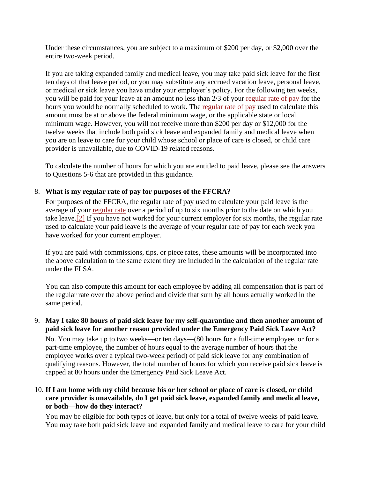Under these circumstances, you are subject to a maximum of \$200 per day, or \$2,000 over the entire two-week period.

If you are taking expanded family and medical leave, you may take paid sick leave for the first ten days of that leave period, or you may substitute any accrued vacation leave, personal leave, or medical or sick leave you have under your employer's policy. For the following ten weeks, you will be paid for your leave at an amount no less than 2/3 of your [regular rate of pay](https://www.dol.gov/agencies/whd/fact-sheets/56a-regular-rate) for the hours you would be normally scheduled to work. The [regular rate of pay](https://www.dol.gov/agencies/whd/fact-sheets/56a-regular-rate) used to calculate this amount must be at or above the federal minimum wage, or the applicable state or local minimum wage. However, you will not receive more than \$200 per day or \$12,000 for the twelve weeks that include both paid sick leave and expanded family and medical leave when you are on leave to care for your child whose school or place of care is closed, or child care provider is unavailable, due to COVID-19 related reasons.

To calculate the number of hours for which you are entitled to paid leave, please see the answers to Questions 5-6 that are provided in this guidance.

# 8. **What is my regular rate of pay for purposes of the FFCRA?**

For purposes of the FFCRA, the regular rate of pay used to calculate your paid leave is the average of your [regular rate](https://www.dol.gov/agencies/whd/fact-sheets/56a-regular-rate) over a period of up to six months prior to the date on which you take leave[.\[2\]](https://www.dol.gov/agencies/whd/pandemic/ffcra-questions#_ftn2) If you have not worked for your current employer for six months, the regular rate used to calculate your paid leave is the average of your regular rate of pay for each week you have worked for your current employer.

If you are paid with commissions, tips, or piece rates, these amounts will be incorporated into the above calculation to the same extent they are included in the calculation of the regular rate under the FLSA.

You can also compute this amount for each employee by adding all compensation that is part of the regular rate over the above period and divide that sum by all hours actually worked in the same period.

# 9. **May I take 80 hours of paid sick leave for my self-quarantine and then another amount of paid sick leave for another reason provided under the Emergency Paid Sick Leave Act?**

No. You may take up to two weeks—or ten days—(80 hours for a full-time employee, or for a part-time employee, the number of hours equal to the average number of hours that the employee works over a typical two-week period) of paid sick leave for any combination of qualifying reasons. However, the total number of hours for which you receive paid sick leave is capped at 80 hours under the Emergency Paid Sick Leave Act.

# 10. **If I am home with my child because his or her school or place of care is closed, or child care provider is unavailable, do I get paid sick leave, expanded family and medical leave, or both—how do they interact?**

You may be eligible for both types of leave, but only for a total of twelve weeks of paid leave. You may take both paid sick leave and expanded family and medical leave to care for your child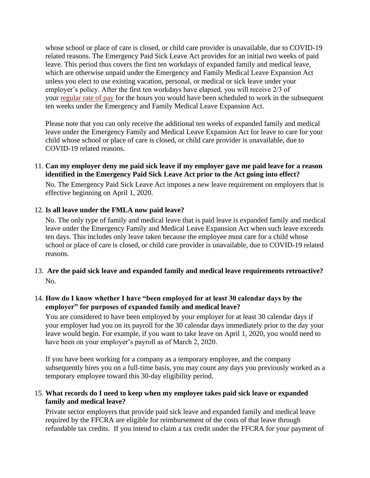whose school or place of care is closed, or child care provider is unavailable, due to COVID-19 related reasons. The Emergency Paid Sick Leave Act provides for an initial two weeks of paid leave. This period thus covers the first ten workdays of expanded family and medical leave, which are otherwise unpaid under the Emergency and Family Medical Leave Expansion Act unless you elect to use existing vacation, personal, or medical or sick leave under your employer's policy. After the first ten workdays have elapsed, you will receive 2/3 of your [regular rate of pay](https://www.dol.gov/agencies/whd/fact-sheets/56a-regular-rate) for the hours you would have been scheduled to work in the subsequent ten weeks under the Emergency and Family Medical Leave Expansion Act.

Please note that you can only receive the additional ten weeks of expanded family and medical leave under the Emergency Family and Medical Leave Expansion Act for leave to care for your child whose school or place of care is closed, or child care provider is unavailable, due to COVID-19 related reasons.

11. **Can my employer deny me paid sick leave if my employer gave me paid leave for a reason identified in the Emergency Paid Sick Leave Act prior to the Act going into effect?**

No. The Emergency Paid Sick Leave Act imposes a new leave requirement on employers that is effective beginning on April 1, 2020.

#### 12. **Is all leave under the FMLA now paid leave?**

No. The only type of family and medical leave that is paid leave is expanded family and medical leave under the Emergency Family and Medical Leave Expansion Act when such leave exceeds ten days. This includes only leave taken because the employee must care for a child whose school or place of care is closed, or child care provider is unavailable, due to COVID-19 related reasons.

13. **Are the paid sick leave and expanded family and medical leave requirements retroactive?** No.

#### 14. **How do I know whether I have "been employed for at least 30 calendar days by the employer" for purposes of expanded family and medical leave?**

You are considered to have been employed by your employer for at least 30 calendar days if your employer had you on its payroll for the 30 calendar days immediately prior to the day your leave would begin. For example, if you want to take leave on April 1, 2020, you would need to have been on your employer's payroll as of March 2, 2020.

If you have been working for a company as a temporary employee, and the company subsequently hires you on a full-time basis, you may count any days you previously worked as a temporary employee toward this 30-day eligibility period.

#### 15. **What records do I need to keep when my employee takes paid sick leave or expanded family and medical leave?**

Private sector employers that provide paid sick leave and expanded family and medical leave required by the FFCRA are eligible for reimbursement of the costs of that leave through refundable tax credits. If you intend to claim a tax credit under the FFCRA for your payment of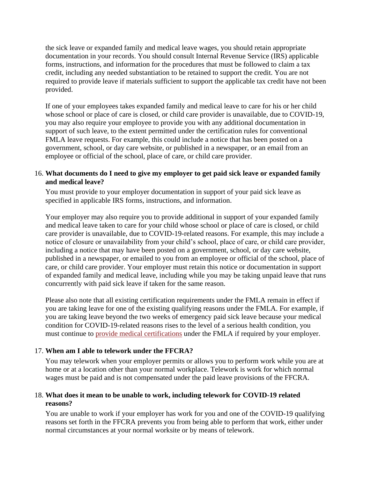the sick leave or expanded family and medical leave wages, you should retain appropriate documentation in your records. You should consult Internal Revenue Service (IRS) applicable forms, instructions, and information for the procedures that must be followed to claim a tax credit, including any needed substantiation to be retained to support the credit. You are not required to provide leave if materials sufficient to support the applicable tax credit have not been provided.

If one of your employees takes expanded family and medical leave to care for his or her child whose school or place of care is closed, or child care provider is unavailable, due to COVID-19, you may also require your employee to provide you with any additional documentation in support of such leave, to the extent permitted under the certification rules for conventional FMLA leave requests. For example, this could include a notice that has been posted on a government, school, or day care website, or published in a newspaper, or an email from an employee or official of the school, place of care, or child care provider.

#### 16. **What documents do I need to give my employer to get paid sick leave or expanded family and medical leave?**

You must provide to your employer documentation in support of your paid sick leave as specified in applicable IRS forms, instructions, and information.

Your employer may also require you to provide additional in support of your expanded family and medical leave taken to care for your child whose school or place of care is closed, or child care provider is unavailable, due to COVID-19-related reasons. For example, this may include a notice of closure or unavailability from your child's school, place of care, or child care provider, including a notice that may have been posted on a government, school, or day care website, published in a newspaper, or emailed to you from an employee or official of the school, place of care, or child care provider. Your employer must retain this notice or documentation in support of expanded family and medical leave, including while you may be taking unpaid leave that runs concurrently with paid sick leave if taken for the same reason.

Please also note that all existing certification requirements under the FMLA remain in effect if you are taking leave for one of the existing qualifying reasons under the FMLA. For example, if you are taking leave beyond the two weeks of emergency paid sick leave because your medical condition for COVID-19-related reasons rises to the level of a serious health condition, you must continue to [provide medical certifications](https://www.dol.gov/sites/dolgov/files/WHD/legacy/files/whdfs28g.pdf) under the FMLA if required by your employer.

# 17. **When am I able to telework under the FFCRA?**

You may telework when your employer permits or allows you to perform work while you are at home or at a location other than your normal workplace. Telework is work for which normal wages must be paid and is not compensated under the paid leave provisions of the FFCRA.

# 18. **What does it mean to be unable to work, including telework for COVID-19 related reasons?**

You are unable to work if your employer has work for you and one of the COVID-19 qualifying reasons set forth in the FFCRA prevents you from being able to perform that work, either under normal circumstances at your normal worksite or by means of telework.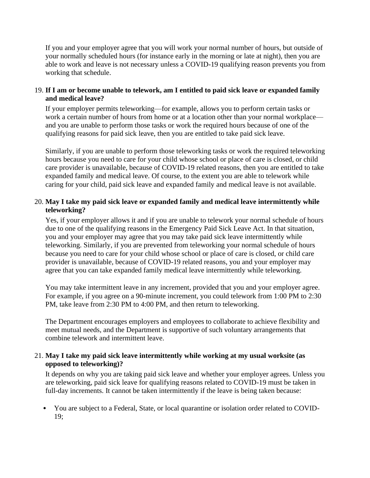If you and your employer agree that you will work your normal number of hours, but outside of your normally scheduled hours (for instance early in the morning or late at night), then you are able to work and leave is not necessary unless a COVID-19 qualifying reason prevents you from working that schedule.

#### 19. **If I am or become unable to telework, am I entitled to paid sick leave or expanded family and medical leave?**

If your employer permits teleworking—for example, allows you to perform certain tasks or work a certain number of hours from home or at a location other than your normal workplace and you are unable to perform those tasks or work the required hours because of one of the qualifying reasons for paid sick leave, then you are entitled to take paid sick leave.

Similarly, if you are unable to perform those teleworking tasks or work the required teleworking hours because you need to care for your child whose school or place of care is closed, or child care provider is unavailable, because of COVID-19 related reasons, then you are entitled to take expanded family and medical leave. Of course, to the extent you are able to telework while caring for your child, paid sick leave and expanded family and medical leave is not available.

### 20. **May I take my paid sick leave or expanded family and medical leave intermittently while teleworking?**

Yes, if your employer allows it and if you are unable to telework your normal schedule of hours due to one of the qualifying reasons in the Emergency Paid Sick Leave Act. In that situation, you and your employer may agree that you may take paid sick leave intermittently while teleworking. Similarly, if you are prevented from teleworking your normal schedule of hours because you need to care for your child whose school or place of care is closed, or child care provider is unavailable, because of COVID-19 related reasons, you and your employer may agree that you can take expanded family medical leave intermittently while teleworking.

You may take intermittent leave in any increment, provided that you and your employer agree. For example, if you agree on a 90-minute increment, you could telework from 1:00 PM to 2:30 PM, take leave from 2:30 PM to 4:00 PM, and then return to teleworking.

The Department encourages employers and employees to collaborate to achieve flexibility and meet mutual needs, and the Department is supportive of such voluntary arrangements that combine telework and intermittent leave.

#### 21. **May I take my paid sick leave intermittently while working at my usual worksite (as opposed to teleworking)?**

It depends on why you are taking paid sick leave and whether your employer agrees. Unless you are teleworking, paid sick leave for qualifying reasons related to COVID-19 must be taken in full-day increments. It cannot be taken intermittently if the leave is being taken because:

• You are subject to a Federal, State, or local quarantine or isolation order related to COVID-19;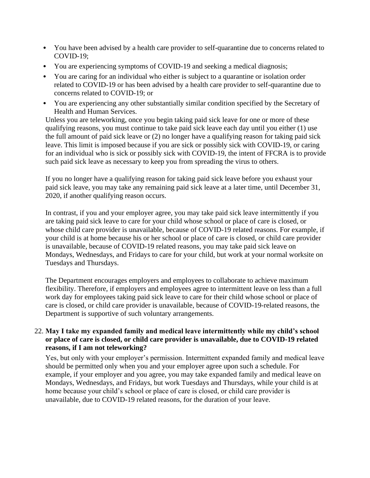- You have been advised by a health care provider to self-quarantine due to concerns related to COVID-19;
- You are experiencing symptoms of COVID-19 and seeking a medical diagnosis;
- You are caring for an individual who either is subject to a quarantine or isolation order related to COVID-19 or has been advised by a health care provider to self-quarantine due to concerns related to COVID-19; or
- You are experiencing any other substantially similar condition specified by the Secretary of Health and Human Services.

Unless you are teleworking, once you begin taking paid sick leave for one or more of these qualifying reasons, you must continue to take paid sick leave each day until you either (1) use the full amount of paid sick leave or (2) no longer have a qualifying reason for taking paid sick leave. This limit is imposed because if you are sick or possibly sick with COVID-19, or caring for an individual who is sick or possibly sick with COVID-19, the intent of FFCRA is to provide such paid sick leave as necessary to keep you from spreading the virus to others.

If you no longer have a qualifying reason for taking paid sick leave before you exhaust your paid sick leave, you may take any remaining paid sick leave at a later time, until December 31, 2020, if another qualifying reason occurs.

In contrast, if you and your employer agree, you may take paid sick leave intermittently if you are taking paid sick leave to care for your child whose school or place of care is closed, or whose child care provider is unavailable, because of COVID-19 related reasons. For example, if your child is at home because his or her school or place of care is closed, or child care provider is unavailable, because of COVID-19 related reasons, you may take paid sick leave on Mondays, Wednesdays, and Fridays to care for your child, but work at your normal worksite on Tuesdays and Thursdays.

The Department encourages employers and employees to collaborate to achieve maximum flexibility. Therefore, if employers and employees agree to intermittent leave on less than a full work day for employees taking paid sick leave to care for their child whose school or place of care is closed, or child care provider is unavailable, because of COVID-19-related reasons, the Department is supportive of such voluntary arrangements.

### 22. **May I take my expanded family and medical leave intermittently while my child's school or place of care is closed, or child care provider is unavailable, due to COVID-19 related reasons, if I am not teleworking?**

Yes, but only with your employer's permission. Intermittent expanded family and medical leave should be permitted only when you and your employer agree upon such a schedule. For example, if your employer and you agree, you may take expanded family and medical leave on Mondays, Wednesdays, and Fridays, but work Tuesdays and Thursdays, while your child is at home because your child's school or place of care is closed, or child care provider is unavailable, due to COVID-19 related reasons, for the duration of your leave.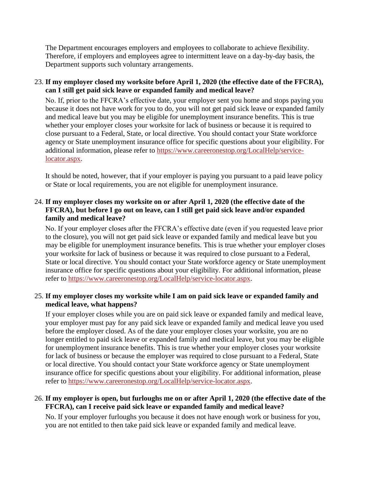The Department encourages employers and employees to collaborate to achieve flexibility. Therefore, if employers and employees agree to intermittent leave on a day-by-day basis, the Department supports such voluntary arrangements.

23. **If my employer closed my worksite before April 1, 2020 (the effective date of the FFCRA), can I still get paid sick leave or expanded family and medical leave?**

No. If, prior to the FFCRA's effective date, your employer sent you home and stops paying you because it does not have work for you to do, you will not get paid sick leave or expanded family and medical leave but you may be eligible for unemployment insurance benefits. This is true whether your employer closes your worksite for lack of business or because it is required to close pursuant to a Federal, State, or local directive. You should contact your State workforce agency or State unemployment insurance office for specific questions about your eligibility. For additional information, please refer to [https://www.careeronestop.org/LocalHelp/service](https://www.careeronestop.org/LocalHelp/service-locator.aspx)[locator.aspx.](https://www.careeronestop.org/LocalHelp/service-locator.aspx)

It should be noted, however, that if your employer is paying you pursuant to a paid leave policy or State or local requirements, you are not eligible for unemployment insurance.

# 24. **If my employer closes my worksite on or after April 1, 2020 (the effective date of the FFCRA), but before I go out on leave, can I still get paid sick leave and/or expanded family and medical leave?**

No. If your employer closes after the FFCRA's effective date (even if you requested leave prior to the closure), you will not get paid sick leave or expanded family and medical leave but you may be eligible for unemployment insurance benefits. This is true whether your employer closes your worksite for lack of business or because it was required to close pursuant to a Federal, State or local directive. You should contact your State workforce agency or State unemployment insurance office for specific questions about your eligibility. For additional information, please refer to [https://www.careeronestop.org/LocalHelp/service-locator.aspx.](https://www.careeronestop.org/LocalHelp/service-locator.aspx)

# 25. **If my employer closes my worksite while I am on paid sick leave or expanded family and medical leave, what happens?**

If your employer closes while you are on paid sick leave or expanded family and medical leave, your employer must pay for any paid sick leave or expanded family and medical leave you used before the employer closed. As of the date your employer closes your worksite, you are no longer entitled to paid sick leave or expanded family and medical leave, but you may be eligible for unemployment insurance benefits. This is true whether your employer closes your worksite for lack of business or because the employer was required to close pursuant to a Federal, State or local directive. You should contact your State workforce agency or State unemployment insurance office for specific questions about your eligibility. For additional information, please refer to [https://www.careeronestop.org/LocalHelp/service-locator.aspx.](https://www.careeronestop.org/LocalHelp/service-locator.aspx)

# 26. **If my employer is open, but furloughs me on or after April 1, 2020 (the effective date of the FFCRA), can I receive paid sick leave or expanded family and medical leave?**

No. If your employer furloughs you because it does not have enough work or business for you, you are not entitled to then take paid sick leave or expanded family and medical leave.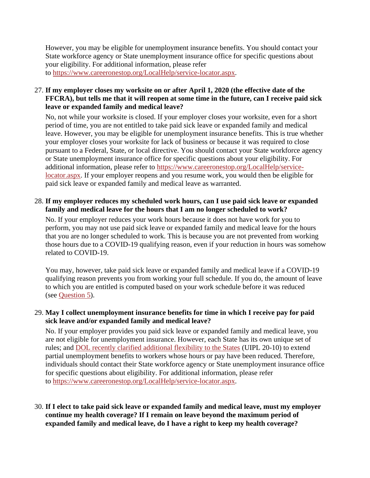However, you may be eligible for unemployment insurance benefits. You should contact your State workforce agency or State unemployment insurance office for specific questions about your eligibility. For additional information, please refer to [https://www.careeronestop.org/LocalHelp/service-locator.aspx.](https://www.careeronestop.org/LocalHelp/service-locator.aspx)

#### 27. **If my employer closes my worksite on or after April 1, 2020 (the effective date of the FFCRA), but tells me that it will reopen at some time in the future, can I receive paid sick leave or expanded family and medical leave?**

No, not while your worksite is closed. If your employer closes your worksite, even for a short period of time, you are not entitled to take paid sick leave or expanded family and medical leave. However, you may be eligible for unemployment insurance benefits. This is true whether your employer closes your worksite for lack of business or because it was required to close pursuant to a Federal, State, or local directive. You should contact your State workforce agency or State unemployment insurance office for specific questions about your eligibility. For additional information, please refer to [https://www.careeronestop.org/LocalHelp/service](https://www.careeronestop.org/LocalHelp/service-locator.aspx)[locator.aspx.](https://www.careeronestop.org/LocalHelp/service-locator.aspx) If your employer reopens and you resume work, you would then be eligible for paid sick leave or expanded family and medical leave as warranted.

# 28. **If my employer reduces my scheduled work hours, can I use paid sick leave or expanded family and medical leave for the hours that I am no longer scheduled to work?**

No. If your employer reduces your work hours because it does not have work for you to perform, you may not use paid sick leave or expanded family and medical leave for the hours that you are no longer scheduled to work. This is because you are not prevented from working those hours due to a COVID-19 qualifying reason, even if your reduction in hours was somehow related to COVID-19.

You may, however, take paid sick leave or expanded family and medical leave if a COVID-19 qualifying reason prevents you from working your full schedule. If you do, the amount of leave to which you are entitled is computed based on your work schedule before it was reduced (see [Question 5\)](https://www.dol.gov/agencies/whd/pandemic/ffcra-questions#5).

#### 29. **May I collect unemployment insurance benefits for time in which I receive pay for paid sick leave and/or expanded family and medical leave?**

No. If your employer provides you paid sick leave or expanded family and medical leave, you are not eligible for unemployment insurance. However, each State has its own unique set of rules; and [DOL recently clarified additional flexibility to the States](https://wdr.doleta.gov/directives/corr_doc.cfm?docn=8893) (UIPL 20-10) to extend partial unemployment benefits to workers whose hours or pay have been reduced. Therefore, individuals should contact their State workforce agency or State unemployment insurance office for specific questions about eligibility. For additional information, please refer to [https://www.careeronestop.org/LocalHelp/service-locator.aspx.](https://www.careeronestop.org/LocalHelp/service-locator.aspx)

# 30. **If I elect to take paid sick leave or expanded family and medical leave, must my employer continue my health coverage? If I remain on leave beyond the maximum period of expanded family and medical leave, do I have a right to keep my health coverage?**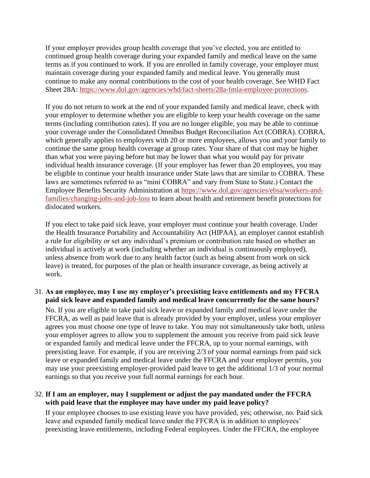If your employer provides group health coverage that you've elected, you are entitled to continued group health coverage during your expanded family and medical leave on the same terms as if you continued to work. If you are enrolled in family coverage, your employer must maintain coverage during your expanded family and medical leave. You generally must continue to make any normal contributions to the cost of your health coverage. See WHD Fact Sheet 28A: [https://www.dol.gov/agencies/whd/fact-sheets/28a-fmla-employee-protections.](https://www.dol.gov/agencies/whd/fact-sheets/28a-fmla-employee-protections)

If you do not return to work at the end of your expanded family and medical leave, check with your employer to determine whether you are eligible to keep your health coverage on the same terms (including contribution rates). If you are no longer eligible, you may be able to continue your coverage under the Consolidated Omnibus Budget Reconciliation Act (COBRA). COBRA, which generally applies to employers with 20 or more employees, allows you and your family to continue the same group health coverage at group rates. Your share of that cost may be higher than what you were paying before but may be lower than what you would pay for private individual health insurance coverage. (If your employer has fewer than 20 employees, you may be eligible to continue your health insurance under State laws that are similar to COBRA. These laws are sometimes referred to as "mini COBRA" and vary from State to State.) Contact the Employee Benefits Security Administration at [https://www.dol.gov/agencies/ebsa/workers-and](https://www.dol.gov/agencies/ebsa/workers-and-families/changing-jobs-and-job-loss)[families/changing-jobs-and-job-loss](https://www.dol.gov/agencies/ebsa/workers-and-families/changing-jobs-and-job-loss) to learn about health and retirement benefit protections for dislocated workers.

If you elect to take paid sick leave, your employer must continue your health coverage. Under the Health Insurance Portability and Accountability Act (HIPAA), an employer cannot establish a rule for eligibility or set any individual's premium or contribution rate based on whether an individual is actively at work (including whether an individual is continuously employed), unless absence from work due to any health factor (such as being absent from work on sick leave) is treated, for purposes of the plan or health insurance coverage, as being actively at work.

# 31. **As an employee, may I use my employer's preexisting leave entitlements and my FFCRA paid sick leave and expanded family and medical leave concurrently for the same hours?**

No. If you are eligible to take paid sick leave or expanded family and medical leave under the FFCRA, as well as paid leave that is already provided by your employer, unless your employer agrees you must choose one type of leave to take. You may not simultaneously take both, unless your employer agrees to allow you to supplement the amount you receive from paid sick leave or expanded family and medical leave under the FFCRA, up to your normal earnings, with preexisting leave. For example, if you are receiving 2/3 of your normal earnings from paid sick leave or expanded family and medical leave under the FFCRA and your employer permits, you may use your preexisting employer-provided paid leave to get the additional 1/3 of your normal earnings so that you receive your full normal earnings for each hour.

# 32. **If I am an employer, may I supplement or adjust the pay mandated under the FFCRA with paid leave that the employee may have under my paid leave policy?**

If your employee chooses to use existing leave you have provided, yes; otherwise, no. Paid sick leave and expanded family medical leave under the FFCRA is in addition to employees' preexisting leave entitlements, including Federal employees. Under the FFCRA, the employee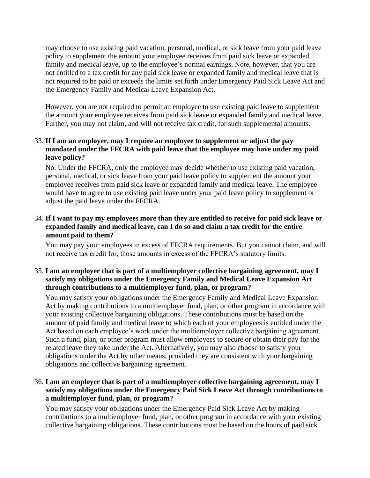may choose to use existing paid vacation, personal, medical, or sick leave from your paid leave policy to supplement the amount your employee receives from paid sick leave or expanded family and medical leave, up to the employee's normal earnings. Note, however, that you are not entitled to a tax credit for any paid sick leave or expanded family and medical leave that is not required to be paid or exceeds the limits set forth under Emergency Paid Sick Leave Act and the Emergency Family and Medical Leave Expansion Act.

However, you are not required to permit an employee to use existing paid leave to supplement the amount your employee receives from paid sick leave or expanded family and medical leave. Further, you may not claim, and will not receive tax credit, for such supplemental amounts.

# 33. **If I am an employer, may I require an employee to supplement or adjust the pay mandated under the FFCRA with paid leave that the employee may have under my paid leave policy?**

No. Under the FFCRA, only the employee may decide whether to use existing paid vacation, personal, medical, or sick leave from your paid leave policy to supplement the amount your employee receives from paid sick leave or expanded family and medical leave. The employee would have to agree to use existing paid leave under your paid leave policy to supplement or adjust the paid leave under the FFCRA.

### 34. **If I want to pay my employees more than they are entitled to receive for paid sick leave or expanded family and medical leave, can I do so and claim a tax credit for the entire amount paid to them?**

You may pay your employees in excess of FFCRA requirements. But you cannot claim, and will not receive tax credit for, those amounts in excess of the FFCRA's statutory limits.

# 35. **I am an employer that is part of a multiemployer collective bargaining agreement, may I satisfy my obligations under the Emergency Family and Medical Leave Expansion Act through contributions to a multiemployer fund, plan, or program?**

You may satisfy your obligations under the Emergency Family and Medical Leave Expansion Act by making contributions to a multiemployer fund, plan, or other program in accordance with your existing collective bargaining obligations. These contributions must be based on the amount of paid family and medical leave to which each of your employees is entitled under the Act based on each employee's work under the multiemployer collective bargaining agreement. Such a fund, plan, or other program must allow employees to secure or obtain their pay for the related leave they take under the Act. Alternatively, you may also choose to satisfy your obligations under the Act by other means, provided they are consistent with your bargaining obligations and collective bargaining agreement.

# 36. **I am an employer that is part of a multiemployer collective bargaining agreement, may I satisfy my obligations under the Emergency Paid Sick Leave Act through contributions to a multiemployer fund, plan, or program?**

You may satisfy your obligations under the Emergency Paid Sick Leave Act by making contributions to a multiemployer fund, plan, or other program in accordance with your existing collective bargaining obligations. These contributions must be based on the hours of paid sick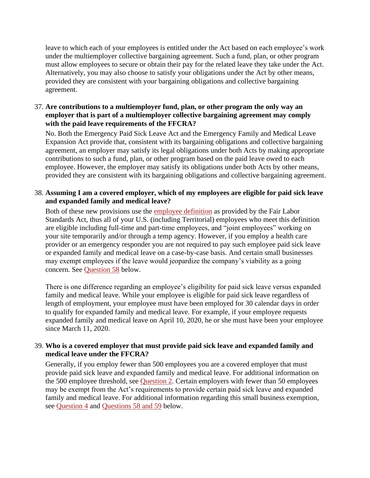leave to which each of your employees is entitled under the Act based on each employee's work under the multiemployer collective bargaining agreement. Such a fund, plan, or other program must allow employees to secure or obtain their pay for the related leave they take under the Act. Alternatively, you may also choose to satisfy your obligations under the Act by other means, provided they are consistent with your bargaining obligations and collective bargaining agreement.

### 37. **Are contributions to a multiemployer fund, plan, or other program the only way an employer that is part of a multiemployer collective bargaining agreement may comply with the paid leave requirements of the FFCRA?**

No. Both the Emergency Paid Sick Leave Act and the Emergency Family and Medical Leave Expansion Act provide that, consistent with its bargaining obligations and collective bargaining agreement, an employer may satisfy its legal obligations under both Acts by making appropriate contributions to such a fund, plan, or other program based on the paid leave owed to each employee. However, the employer may satisfy its obligations under both Acts by other means, provided they are consistent with its bargaining obligations and collective bargaining agreement.

#### 38. **Assuming I am a covered employer, which of my employees are eligible for paid sick leave and expanded family and medical leave?**

Both of these new provisions use the [employee definition](https://www.dol.gov/agencies/whd/fact-sheets/13-flsa-employment-relationship) as provided by the Fair Labor Standards Act, thus all of your U.S. (including Territorial) employees who meet this definition are eligible including full-time and part-time employees, and "joint employees" working on your site temporarily and/or through a temp agency. However, if you employ a health care provider or an emergency responder you are not required to pay such employee paid sick leave or expanded family and medical leave on a case-by-case basis. And certain small businesses may exempt employees if the leave would jeopardize the company's viability as a going concern. See [Question 58](https://www.dol.gov/agencies/whd/pandemic/ffcra-questions#58) below.

There is one difference regarding an employee's eligibility for paid sick leave versus expanded family and medical leave. While your employee is eligible for paid sick leave regardless of length of employment, your employee must have been employed for 30 calendar days in order to qualify for expanded family and medical leave. For example, if your employee requests expanded family and medical leave on April 10, 2020, he or she must have been your employee since March 11, 2020.

# 39. **Who is a covered employer that must provide paid sick leave and expanded family and medical leave under the FFCRA?**

Generally, if you employ fewer than 500 employees you are a covered employer that must provide paid sick leave and expanded family and medical leave. For additional information on the 500 employee threshold, see [Question 2.](https://www.dol.gov/agencies/whd/pandemic/ffcra-questions#2) Certain employers with fewer than 50 employees may be exempt from the Act's requirements to provide certain paid sick leave and expanded family and medical leave. For additional information regarding this small business exemption, see [Question 4](https://www.dol.gov/agencies/whd/pandemic/ffcra-questions#4) and [Questions 58 and 59](https://www.dol.gov/agencies/whd/pandemic/ffcra-questions#58) below.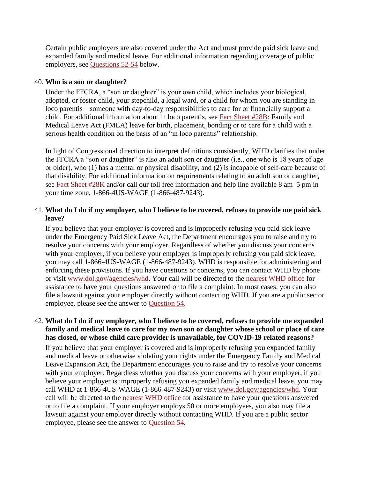Certain public employers are also covered under the Act and must provide paid sick leave and expanded family and medical leave. For additional information regarding coverage of public employers, see [Questions 52-54](https://www.dol.gov/agencies/whd/pandemic/ffcra-questions#52) below.

#### 40. **Who is a son or daughter?**

Under the FFCRA, a "son or daughter" is your own child, which includes your biological, adopted, or foster child, your stepchild, a legal ward, or a child for whom you are standing in loco parentis—someone with day-to-day responsibilities to care for or financially support a child. For additional information about in loco parentis, see [Fact Sheet #28B:](https://www.dol.gov/sites/dolgov/files/WHD/legacy/files/whdfs28B.pdf) Family and Medical Leave Act (FMLA) leave for birth, placement, bonding or to care for a child with a serious health condition on the basis of an "in loco parentis" relationship.

In light of Congressional direction to interpret definitions consistently, WHD clarifies that under the FFCRA a "son or daughter" is also an adult son or daughter (i.e., one who is 18 years of age or older), who (1) has a mental or physical disability, and (2) is incapable of self-care because of that disability. For additional information on requirements relating to an adult son or daughter, see [Fact Sheet #28K](https://www.dol.gov/agencies/whd/fact-sheets/28k-fmla-adult-children) and/or call our toll free information and help line available 8 am–5 pm in your time zone, 1-866-4US-WAGE (1-866-487-9243).

# 41. **What do I do if my employer, who I believe to be covered, refuses to provide me paid sick leave?**

If you believe that your employer is covered and is improperly refusing you paid sick leave under the Emergency Paid Sick Leave Act, the Department encourages you to raise and try to resolve your concerns with your employer. Regardless of whether you discuss your concerns with your employer, if you believe your employer is improperly refusing you paid sick leave, you may call 1-866-4US-WAGE (1-866-487-9243). WHD is responsible for administering and enforcing these provisions. If you have questions or concerns, you can contact WHD by phone or visit [www.dol.gov/agencies/whd.](https://www.dol.gov/agencies/whd) Your call will be directed to the [nearest WHD office](https://www.dol.gov/agencies/whd/contact/local-offices) for assistance to have your questions answered or to file a complaint. In most cases, you can also file a lawsuit against your employer directly without contacting WHD. If you are a public sector employee, please see the answer to [Question 54.](https://www.dol.gov/agencies/whd/pandemic/ffcra-questions#54)

### 42. **What do I do if my employer, who I believe to be covered, refuses to provide me expanded family and medical leave to care for my own son or daughter whose school or place of care has closed, or whose child care provider is unavailable, for COVID-19 related reasons?**

If you believe that your employer is covered and is improperly refusing you expanded family and medical leave or otherwise violating your rights under the Emergency Family and Medical Leave Expansion Act, the Department encourages you to raise and try to resolve your concerns with your employer. Regardless whether you discuss your concerns with your employer, if you believe your employer is improperly refusing you expanded family and medical leave, you may call WHD at 1-866-4US-WAGE (1-866-487-9243) or visit [www.dol.gov/agencies/whd.](https://www.dol.gov/agencies/whd) Your call will be directed to the [nearest WHD office](https://www.dol.gov/agencies/whd/contact/local-offices) for assistance to have your questions answered or to file a complaint. If your employer employs 50 or more employees, you also may file a lawsuit against your employer directly without contacting WHD. If you are a public sector employee, please see the answer to [Question 54.](https://www.dol.gov/agencies/whd/pandemic/ffcra-questions#54)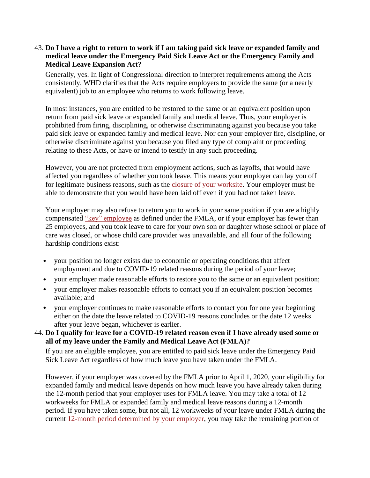### 43. **Do I have a right to return to work if I am taking paid sick leave or expanded family and medical leave under the Emergency Paid Sick Leave Act or the Emergency Family and Medical Leave Expansion Act?**

Generally, yes. In light of Congressional direction to interpret requirements among the Acts consistently, WHD clarifies that the Acts require employers to provide the same (or a nearly equivalent) job to an employee who returns to work following leave.

In most instances, you are entitled to be restored to the same or an equivalent position upon return from paid sick leave or expanded family and medical leave. Thus, your employer is prohibited from firing, disciplining, or otherwise discriminating against you because you take paid sick leave or expanded family and medical leave. Nor can your employer fire, discipline, or otherwise discriminate against you because you filed any type of complaint or proceeding relating to these Acts, or have or intend to testify in any such proceeding.

However, you are not protected from employment actions, such as layoffs, that would have affected you regardless of whether you took leave. This means your employer can lay you off for legitimate business reasons, such as the [closure of your worksite.](https://www.dol.gov/agencies/whd/fact-sheets/28a-fmla-employee-protections) Your employer must be able to demonstrate that you would have been laid off even if you had not taken leave.

Your employer may also refuse to return you to work in your same position if you are a highly compensated ["key" employee](https://www.dol.gov/whd/regs/compliance/whdfs28a.pdf) as defined under the FMLA, or if your employer has fewer than 25 employees, and you took leave to care for your own son or daughter whose school or place of care was closed, or whose child care provider was unavailable, and all four of the following hardship conditions exist:

- your position no longer exists due to economic or operating conditions that affect employment and due to COVID-19 related reasons during the period of your leave;
- your employer made reasonable efforts to restore you to the same or an equivalent position;
- your employer makes reasonable efforts to contact you if an equivalent position becomes available; and
- your employer continues to make reasonable efforts to contact you for one year beginning either on the date the leave related to COVID-19 reasons concludes or the date 12 weeks after your leave began, whichever is earlier.
- 44. **Do I qualify for leave for a COVID-19 related reason even if I have already used some or all of my leave under the Family and Medical Leave Act (FMLA)?**

If you are an eligible employee, you are entitled to paid sick leave under the Emergency Paid Sick Leave Act regardless of how much leave you have taken under the FMLA.

However, if your employer was covered by the FMLA prior to April 1, 2020, your eligibility for expanded family and medical leave depends on how much leave you have already taken during the 12-month period that your employer uses for FMLA leave. You may take a total of 12 workweeks for FMLA or expanded family and medical leave reasons during a 12-month period. If you have taken some, but not all, 12 workweeks of your leave under FMLA during the current [12-month period determined by your employer,](https://www.dol.gov/sites/dolgov/files/WHD/legacy/files/whdfs28h.pdf) you may take the remaining portion of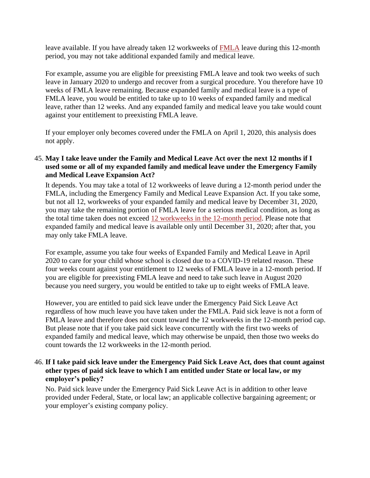leave available. If you have already taken 12 workweeks of [FMLA](https://www.dol.gov/sites/dolgov/files/WHD/legacy/files/whdfs28.pdf) leave during this 12-month period, you may not take additional expanded family and medical leave.

For example, assume you are eligible for preexisting FMLA leave and took two weeks of such leave in January 2020 to undergo and recover from a surgical procedure. You therefore have 10 weeks of FMLA leave remaining. Because expanded family and medical leave is a type of FMLA leave, you would be entitled to take up to 10 weeks of expanded family and medical leave, rather than 12 weeks. And any expanded family and medical leave you take would count against your entitlement to preexisting FMLA leave.

If your employer only becomes covered under the FMLA on April 1, 2020, this analysis does not apply.

# 45. **May I take leave under the Family and Medical Leave Act over the next 12 months if I used some or all of my expanded family and medical leave under the Emergency Family and Medical Leave Expansion Act?**

It depends. You may take a total of 12 workweeks of leave during a 12-month period under the FMLA, including the Emergency Family and Medical Leave Expansion Act. If you take some, but not all 12, workweeks of your expanded family and medical leave by December 31, 2020, you may take the remaining portion of FMLA leave for a serious medical condition, as long as the total time taken does not exceed [12 workweeks in the 12-month period.](https://www.dol.gov/sites/dolgov/files/WHD/legacy/files/whdfs28h.pdf) Please note that expanded family and medical leave is available only until December 31, 2020; after that, you may only take FMLA leave.

For example, assume you take four weeks of Expanded Family and Medical Leave in April 2020 to care for your child whose school is closed due to a COVID-19 related reason. These four weeks count against your entitlement to 12 weeks of FMLA leave in a 12-month period. If you are eligible for preexisting FMLA leave and need to take such leave in August 2020 because you need surgery, you would be entitled to take up to eight weeks of FMLA leave.

However, you are entitled to paid sick leave under the Emergency Paid Sick Leave Act regardless of how much leave you have taken under the FMLA. Paid sick leave is not a form of FMLA leave and therefore does not count toward the 12 workweeks in the 12-month period cap. But please note that if you take paid sick leave concurrently with the first two weeks of expanded family and medical leave, which may otherwise be unpaid, then those two weeks do count towards the 12 workweeks in the 12-month period.

### 46. **If I take paid sick leave under the Emergency Paid Sick Leave Act, does that count against other types of paid sick leave to which I am entitled under State or local law, or my employer's policy?**

No. Paid sick leave under the Emergency Paid Sick Leave Act is in addition to other leave provided under Federal, State, or local law; an applicable collective bargaining agreement; or your employer's existing company policy.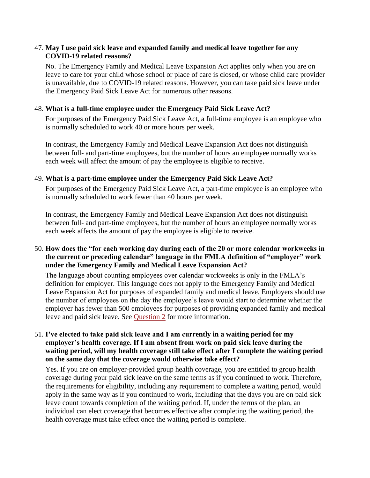#### 47. **May I use paid sick leave and expanded family and medical leave together for any COVID-19 related reasons?**

No. The Emergency Family and Medical Leave Expansion Act applies only when you are on leave to care for your child whose school or place of care is closed, or whose child care provider is unavailable, due to COVID-19 related reasons. However, you can take paid sick leave under the Emergency Paid Sick Leave Act for numerous other reasons.

#### 48. **What is a full-time employee under the Emergency Paid Sick Leave Act?**

For purposes of the Emergency Paid Sick Leave Act, a full-time employee is an employee who is normally scheduled to work 40 or more hours per week.

In contrast, the Emergency Family and Medical Leave Expansion Act does not distinguish between full- and part-time employees, but the number of hours an employee normally works each week will affect the amount of pay the employee is eligible to receive.

#### 49. **What is a part-time employee under the Emergency Paid Sick Leave Act?**

For purposes of the Emergency Paid Sick Leave Act, a part-time employee is an employee who is normally scheduled to work fewer than 40 hours per week.

In contrast, the Emergency Family and Medical Leave Expansion Act does not distinguish between full- and part-time employees, but the number of hours an employee normally works each week affects the amount of pay the employee is eligible to receive.

# 50. **How does the "for each working day during each of the 20 or more calendar workweeks in the current or preceding calendar" language in the FMLA definition of "employer" work under the Emergency Family and Medical Leave Expansion Act?**

The language about counting employees over calendar workweeks is only in the FMLA's definition for employer. This language does not apply to the Emergency Family and Medical Leave Expansion Act for purposes of expanded family and medical leave. Employers should use the number of employees on the day the employee's leave would start to determine whether the employer has fewer than 500 employees for purposes of providing expanded family and medical leave and paid sick leave. See [Question 2](https://www.dol.gov/agencies/whd/pandemic/ffcra-questions#2) for more information.

### 51. **I've elected to take paid sick leave and I am currently in a waiting period for my employer's health coverage. If I am absent from work on paid sick leave during the waiting period, will my health coverage still take effect after I complete the waiting period on the same day that the coverage would otherwise take effect?**

Yes. If you are on employer-provided group health coverage, you are entitled to group health coverage during your paid sick leave on the same terms as if you continued to work. Therefore, the requirements for eligibility, including any requirement to complete a waiting period, would apply in the same way as if you continued to work, including that the days you are on paid sick leave count towards completion of the waiting period. If, under the terms of the plan, an individual can elect coverage that becomes effective after completing the waiting period, the health coverage must take effect once the waiting period is complete.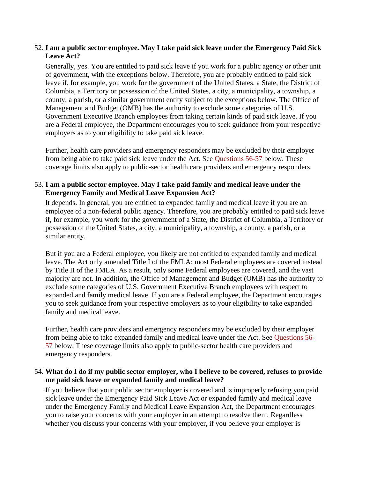# 52. **I am a public sector employee. May I take paid sick leave under the Emergency Paid Sick Leave Act?**

Generally, yes. You are entitled to paid sick leave if you work for a public agency or other unit of government, with the exceptions below. Therefore, you are probably entitled to paid sick leave if, for example, you work for the government of the United States, a State, the District of Columbia, a Territory or possession of the United States, a city, a municipality, a township, a county, a parish, or a similar government entity subject to the exceptions below. The Office of Management and Budget (OMB) has the authority to exclude some categories of U.S. Government Executive Branch employees from taking certain kinds of paid sick leave. If you are a Federal employee, the Department encourages you to seek guidance from your respective employers as to your eligibility to take paid sick leave.

Further, health care providers and emergency responders may be excluded by their employer from being able to take paid sick leave under the Act. See [Questions 56-57](https://www.dol.gov/agencies/whd/pandemic/ffcra-questions#56) below. These coverage limits also apply to public-sector health care providers and emergency responders.

# 53. **I am a public sector employee. May I take paid family and medical leave under the Emergency Family and Medical Leave Expansion Act?**

It depends. In general, you are entitled to expanded family and medical leave if you are an employee of a non-federal public agency. Therefore, you are probably entitled to paid sick leave if, for example, you work for the government of a State, the District of Columbia, a Territory or possession of the United States, a city, a municipality, a township, a county, a parish, or a similar entity.

But if you are a Federal employee, you likely are not entitled to expanded family and medical leave. The Act only amended Title I of the FMLA; most Federal employees are covered instead by Title II of the FMLA. As a result, only some Federal employees are covered, and the vast majority are not. In addition, the Office of Management and Budget (OMB) has the authority to exclude some categories of U.S. Government Executive Branch employees with respect to expanded and family medical leave. If you are a Federal employee, the Department encourages you to seek guidance from your respective employers as to your eligibility to take expanded family and medical leave.

Further, health care providers and emergency responders may be excluded by their employer from being able to take expanded family and medical leave under the Act. See [Questions 56-](https://www.dol.gov/agencies/whd/pandemic/ffcra-questions#56) [57](https://www.dol.gov/agencies/whd/pandemic/ffcra-questions#56) below. These coverage limits also apply to public-sector health care providers and emergency responders.

# 54. **What do I do if my public sector employer, who I believe to be covered, refuses to provide me paid sick leave or expanded family and medical leave?**

If you believe that your public sector employer is covered and is improperly refusing you paid sick leave under the Emergency Paid Sick Leave Act or expanded family and medical leave under the Emergency Family and Medical Leave Expansion Act, the Department encourages you to raise your concerns with your employer in an attempt to resolve them. Regardless whether you discuss your concerns with your employer, if you believe your employer is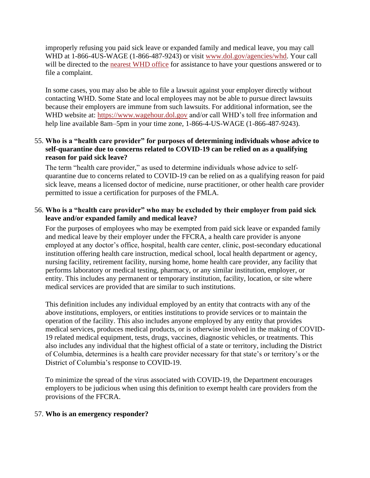improperly refusing you paid sick leave or expanded family and medical leave, you may call WHD at 1-866-4US-WAGE (1-866-487-9243) or visit [www.dol.gov/agencies/whd.](https://www.dol.gov/agencies/whd) Your call will be directed to the [nearest WHD office](https://www.dol.gov/agencies/whd/contact/local-offices) for assistance to have your questions answered or to file a complaint.

In some cases, you may also be able to file a lawsuit against your employer directly without contacting WHD. Some State and local employees may not be able to pursue direct lawsuits because their employers are immune from such lawsuits. For additional information, see the WHD website at: [https://www.wagehour.dol.gov](https://www.wagehour.dol.gov/) and/or call WHD's toll free information and help line available 8am–5pm in your time zone, 1-866-4-US-WAGE (1-866-487-9243).

# 55. **Who is a "health care provider" for purposes of determining individuals whose advice to self-quarantine due to concerns related to COVID-19 can be relied on as a qualifying reason for paid sick leave?**

The term "health care provider," as used to determine individuals whose advice to selfquarantine due to concerns related to COVID-19 can be relied on as a qualifying reason for paid sick leave, means a licensed doctor of medicine, nurse practitioner, or other health care provider permitted to issue a certification for purposes of the FMLA.

# 56. **Who is a "health care provider" who may be excluded by their employer from paid sick leave and/or expanded family and medical leave?**

For the purposes of employees who may be exempted from paid sick leave or expanded family and medical leave by their employer under the FFCRA, a health care provider is anyone employed at any doctor's office, hospital, health care center, clinic, post-secondary educational institution offering health care instruction, medical school, local health department or agency, nursing facility, retirement facility, nursing home, home health care provider, any facility that performs laboratory or medical testing, pharmacy, or any similar institution, employer, or entity. This includes any permanent or temporary institution, facility, location, or site where medical services are provided that are similar to such institutions.

This definition includes any individual employed by an entity that contracts with any of the above institutions, employers, or entities institutions to provide services or to maintain the operation of the facility. This also includes anyone employed by any entity that provides medical services, produces medical products, or is otherwise involved in the making of COVID-19 related medical equipment, tests, drugs, vaccines, diagnostic vehicles, or treatments. This also includes any individual that the highest official of a state or territory, including the District of Columbia, determines is a health care provider necessary for that state's or territory's or the District of Columbia's response to COVID-19.

To minimize the spread of the virus associated with COVID-19, the Department encourages employers to be judicious when using this definition to exempt health care providers from the provisions of the FFCRA.

#### 57. **Who is an emergency responder?**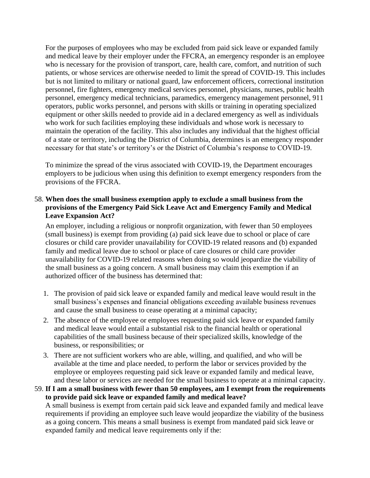For the purposes of employees who may be excluded from paid sick leave or expanded family and medical leave by their employer under the FFCRA, an emergency responder is an employee who is necessary for the provision of transport, care, health care, comfort, and nutrition of such patients, or whose services are otherwise needed to limit the spread of COVID-19. This includes but is not limited to military or national guard, law enforcement officers, correctional institution personnel, fire fighters, emergency medical services personnel, physicians, nurses, public health personnel, emergency medical technicians, paramedics, emergency management personnel, 911 operators, public works personnel, and persons with skills or training in operating specialized equipment or other skills needed to provide aid in a declared emergency as well as individuals who work for such facilities employing these individuals and whose work is necessary to maintain the operation of the facility. This also includes any individual that the highest official of a state or territory, including the District of Columbia, determines is an emergency responder necessary for that state's or territory's or the District of Columbia's response to COVID-19.

To minimize the spread of the virus associated with COVID-19, the Department encourages employers to be judicious when using this definition to exempt emergency responders from the provisions of the FFCRA.

# 58. **When does the small business exemption apply to exclude a small business from the provisions of the Emergency Paid Sick Leave Act and Emergency Family and Medical Leave Expansion Act?**

An employer, including a religious or nonprofit organization, with fewer than 50 employees (small business) is exempt from providing (a) paid sick leave due to school or place of care closures or child care provider unavailability for COVID-19 related reasons and (b) expanded family and medical leave due to school or place of care closures or child care provider unavailability for COVID-19 related reasons when doing so would jeopardize the viability of the small business as a going concern. A small business may claim this exemption if an authorized officer of the business has determined that:

- 1. The provision of paid sick leave or expanded family and medical leave would result in the small business's expenses and financial obligations exceeding available business revenues and cause the small business to cease operating at a minimal capacity;
- 2. The absence of the employee or employees requesting paid sick leave or expanded family and medical leave would entail a substantial risk to the financial health or operational capabilities of the small business because of their specialized skills, knowledge of the business, or responsibilities; or
- 3. There are not sufficient workers who are able, willing, and qualified, and who will be available at the time and place needed, to perform the labor or services provided by the employee or employees requesting paid sick leave or expanded family and medical leave, and these labor or services are needed for the small business to operate at a minimal capacity.

59. **If I am a small business with fewer than 50 employees, am I exempt from the requirements to provide paid sick leave or expanded family and medical leave?** A small business is exempt from certain paid sick leave and expanded family and medical leave requirements if providing an employee such leave would jeopardize the viability of the business as a going concern. This means a small business is exempt from mandated paid sick leave or expanded family and medical leave requirements only if the: